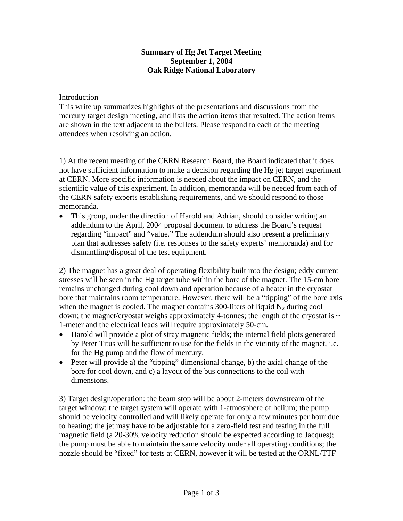## **Summary of Hg Jet Target Meeting September 1, 2004 Oak Ridge National Laboratory**

## Introduction

This write up summarizes highlights of the presentations and discussions from the mercury target design meeting, and lists the action items that resulted. The action items are shown in the text adjacent to the bullets. Please respond to each of the meeting attendees when resolving an action.

1) At the recent meeting of the CERN Research Board, the Board indicated that it does not have sufficient information to make a decision regarding the Hg jet target experiment at CERN. More specific information is needed about the impact on CERN, and the scientific value of this experiment. In addition, memoranda will be needed from each of the CERN safety experts establishing requirements, and we should respond to those memoranda.

• This group, under the direction of Harold and Adrian, should consider writing an addendum to the April, 2004 proposal document to address the Board's request regarding "impact" and "value." The addendum should also present a preliminary plan that addresses safety (i.e. responses to the safety experts' memoranda) and for dismantling/disposal of the test equipment.

2) The magnet has a great deal of operating flexibility built into the design; eddy current stresses will be seen in the Hg target tube within the bore of the magnet. The 15-cm bore remains unchanged during cool down and operation because of a heater in the cryostat bore that maintains room temperature. However, there will be a "tipping" of the bore axis when the magnet is cooled. The magnet contains 300-liters of liquid  $N_2$  during cool down; the magnet/cryostat weighs approximately 4-tonnes; the length of the cryostat is  $\sim$ 1-meter and the electrical leads will require approximately 50-cm.

- Harold will provide a plot of stray magnetic fields; the internal field plots generated by Peter Titus will be sufficient to use for the fields in the vicinity of the magnet, i.e. for the Hg pump and the flow of mercury.
- Peter will provide a) the "tipping" dimensional change, b) the axial change of the bore for cool down, and c) a layout of the bus connections to the coil with dimensions.

3) Target design/operation: the beam stop will be about 2-meters downstream of the target window; the target system will operate with 1-atmosphere of helium; the pump should be velocity controlled and will likely operate for only a few minutes per hour due to heating; the jet may have to be adjustable for a zero-field test and testing in the full magnetic field (a 20-30% velocity reduction should be expected according to Jacques); the pump must be able to maintain the same velocity under all operating conditions; the nozzle should be "fixed" for tests at CERN, however it will be tested at the ORNL/TTF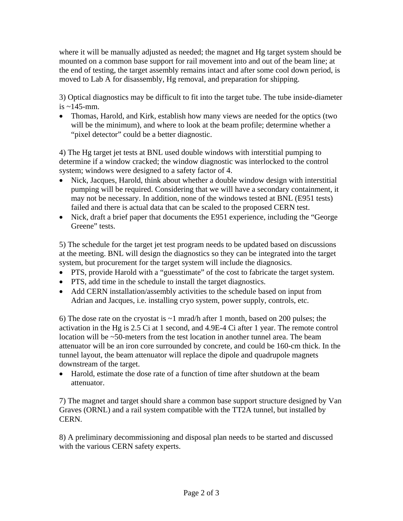where it will be manually adjusted as needed; the magnet and Hg target system should be mounted on a common base support for rail movement into and out of the beam line; at the end of testing, the target assembly remains intact and after some cool down period, is moved to Lab A for disassembly, Hg removal, and preparation for shipping.

3) Optical diagnostics may be difficult to fit into the target tube. The tube inside-diameter is  $\sim$ 145-mm.

• Thomas, Harold, and Kirk, establish how many views are needed for the optics (two will be the minimum), and where to look at the beam profile; determine whether a "pixel detector" could be a better diagnostic.

4) The Hg target jet tests at BNL used double windows with interstitial pumping to determine if a window cracked; the window diagnostic was interlocked to the control system; windows were designed to a safety factor of 4.

- Nick, Jacques, Harold, think about whether a double window design with interstitial pumping will be required. Considering that we will have a secondary containment, it may not be necessary. In addition, none of the windows tested at BNL (E951 tests) failed and there is actual data that can be scaled to the proposed CERN test.
- Nick, draft a brief paper that documents the E951 experience, including the "George" Greene" tests.

5) The schedule for the target jet test program needs to be updated based on discussions at the meeting. BNL will design the diagnostics so they can be integrated into the target system, but procurement for the target system will include the diagnosics.

- PTS, provide Harold with a "guesstimate" of the cost to fabricate the target system.
- PTS, add time in the schedule to install the target diagnostics.
- Add CERN installation/assembly activities to the schedule based on input from Adrian and Jacques, i.e. installing cryo system, power supply, controls, etc.

6) The dose rate on the cryostat is  $\sim$ 1 mrad/h after 1 month, based on 200 pulses; the activation in the Hg is 2.5 Ci at 1 second, and 4.9E-4 Ci after 1 year. The remote control location will be ~50-meters from the test location in another tunnel area. The beam attenuator will be an iron core surrounded by concrete, and could be 160-cm thick. In the tunnel layout, the beam attenuator will replace the dipole and quadrupole magnets downstream of the target.

• Harold, estimate the dose rate of a function of time after shutdown at the beam attenuator.

7) The magnet and target should share a common base support structure designed by Van Graves (ORNL) and a rail system compatible with the TT2A tunnel, but installed by CERN.

8) A preliminary decommissioning and disposal plan needs to be started and discussed with the various CERN safety experts.